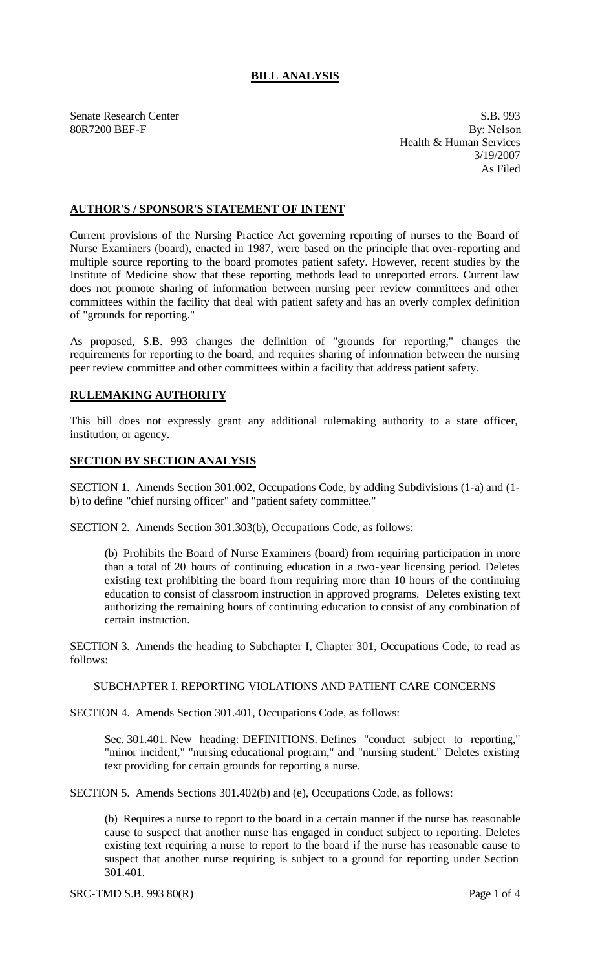# **BILL ANALYSIS**

Senate Research Center S.B. 993 80R7200 BEF-F By: Nelson Health & Human Services 3/19/2007 As Filed

### **AUTHOR'S / SPONSOR'S STATEMENT OF INTENT**

Current provisions of the Nursing Practice Act governing reporting of nurses to the Board of Nurse Examiners (board), enacted in 1987, were based on the principle that over-reporting and multiple source reporting to the board promotes patient safety. However, recent studies by the Institute of Medicine show that these reporting methods lead to unreported errors. Current law does not promote sharing of information between nursing peer review committees and other committees within the facility that deal with patient safety and has an overly complex definition of "grounds for reporting."

As proposed, S.B. 993 changes the definition of "grounds for reporting," changes the requirements for reporting to the board, and requires sharing of information between the nursing peer review committee and other committees within a facility that address patient safe ty.

# **RULEMAKING AUTHORITY**

This bill does not expressly grant any additional rulemaking authority to a state officer, institution, or agency.

#### **SECTION BY SECTION ANALYSIS**

SECTION 1. Amends Section 301.002, Occupations Code, by adding Subdivisions (1-a) and (1 b) to define "chief nursing officer" and "patient safety committee."

SECTION 2. Amends Section 301.303(b), Occupations Code, as follows:

(b) Prohibits the Board of Nurse Examiners (board) from requiring participation in more than a total of 20 hours of continuing education in a two-year licensing period. Deletes existing text prohibiting the board from requiring more than 10 hours of the continuing education to consist of classroom instruction in approved programs. Deletes existing text authorizing the remaining hours of continuing education to consist of any combination of certain instruction.

SECTION 3. Amends the heading to Subchapter I, Chapter 301, Occupations Code, to read as follows:

#### SUBCHAPTER I. REPORTING VIOLATIONS AND PATIENT CARE CONCERNS

SECTION 4. Amends Section 301.401, Occupations Code, as follows:

Sec. 301.401. New heading: DEFINITIONS. Defines "conduct subject to reporting," "minor incident," "nursing educational program," and "nursing student." Deletes existing text providing for certain grounds for reporting a nurse.

SECTION 5. Amends Sections 301.402(b) and (e), Occupations Code, as follows:

(b) Requires a nurse to report to the board in a certain manner if the nurse has reasonable cause to suspect that another nurse has engaged in conduct subject to reporting. Deletes existing text requiring a nurse to report to the board if the nurse has reasonable cause to suspect that another nurse requiring is subject to a ground for reporting under Section 301.401.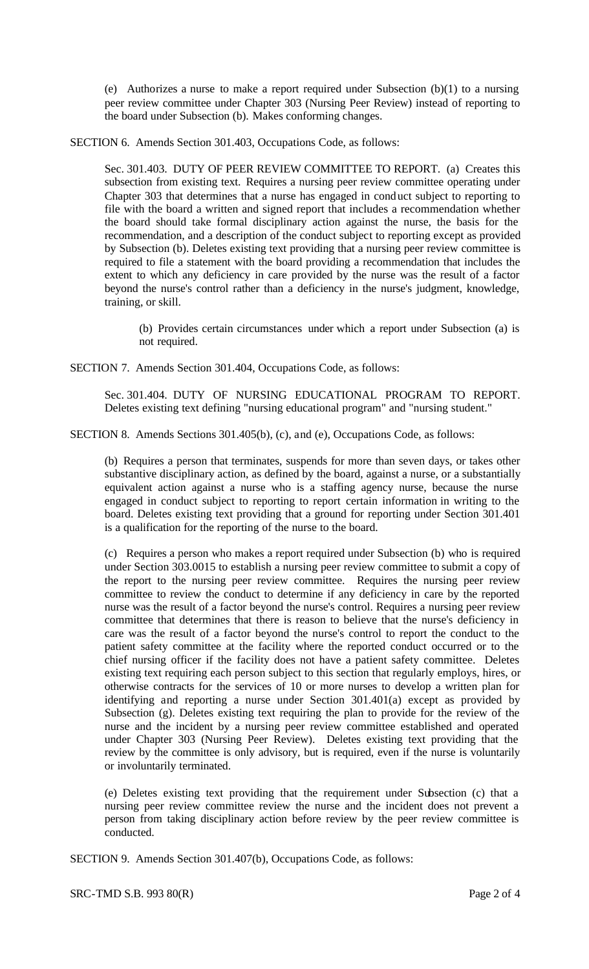(e) Authorizes a nurse to make a report required under Subsection (b)(1) to a nursing peer review committee under Chapter 303 (Nursing Peer Review) instead of reporting to the board under Subsection (b). Makes conforming changes.

SECTION 6. Amends Section 301.403, Occupations Code, as follows:

Sec. 301.403. DUTY OF PEER REVIEW COMMITTEE TO REPORT. (a) Creates this subsection from existing text. Requires a nursing peer review committee operating under Chapter 303 that determines that a nurse has engaged in conduct subject to reporting to file with the board a written and signed report that includes a recommendation whether the board should take formal disciplinary action against the nurse, the basis for the recommendation, and a description of the conduct subject to reporting except as provided by Subsection (b). Deletes existing text providing that a nursing peer review committee is required to file a statement with the board providing a recommendation that includes the extent to which any deficiency in care provided by the nurse was the result of a factor beyond the nurse's control rather than a deficiency in the nurse's judgment, knowledge, training, or skill.

(b) Provides certain circumstances under which a report under Subsection (a) is not required.

SECTION 7. Amends Section 301.404, Occupations Code, as follows:

Sec. 301.404. DUTY OF NURSING EDUCATIONAL PROGRAM TO REPORT. Deletes existing text defining "nursing educational program" and "nursing student."

SECTION 8. Amends Sections 301.405(b), (c), and (e), Occupations Code, as follows:

(b) Requires a person that terminates, suspends for more than seven days, or takes other substantive disciplinary action, as defined by the board, against a nurse, or a substantially equivalent action against a nurse who is a staffing agency nurse, because the nurse engaged in conduct subject to reporting to report certain information in writing to the board. Deletes existing text providing that a ground for reporting under Section 301.401 is a qualification for the reporting of the nurse to the board.

(c) Requires a person who makes a report required under Subsection (b) who is required under Section 303.0015 to establish a nursing peer review committee to submit a copy of the report to the nursing peer review committee. Requires the nursing peer review committee to review the conduct to determine if any deficiency in care by the reported nurse was the result of a factor beyond the nurse's control. Requires a nursing peer review committee that determines that there is reason to believe that the nurse's deficiency in care was the result of a factor beyond the nurse's control to report the conduct to the patient safety committee at the facility where the reported conduct occurred or to the chief nursing officer if the facility does not have a patient safety committee. Deletes existing text requiring each person subject to this section that regularly employs, hires, or otherwise contracts for the services of 10 or more nurses to develop a written plan for identifying and reporting a nurse under Section 301.401(a) except as provided by Subsection (g). Deletes existing text requiring the plan to provide for the review of the nurse and the incident by a nursing peer review committee established and operated under Chapter 303 (Nursing Peer Review). Deletes existing text providing that the review by the committee is only advisory, but is required, even if the nurse is voluntarily or involuntarily terminated.

(e) Deletes existing text providing that the requirement under Subsection (c) that a nursing peer review committee review the nurse and the incident does not prevent a person from taking disciplinary action before review by the peer review committee is conducted.

SECTION 9. Amends Section 301.407(b), Occupations Code, as follows: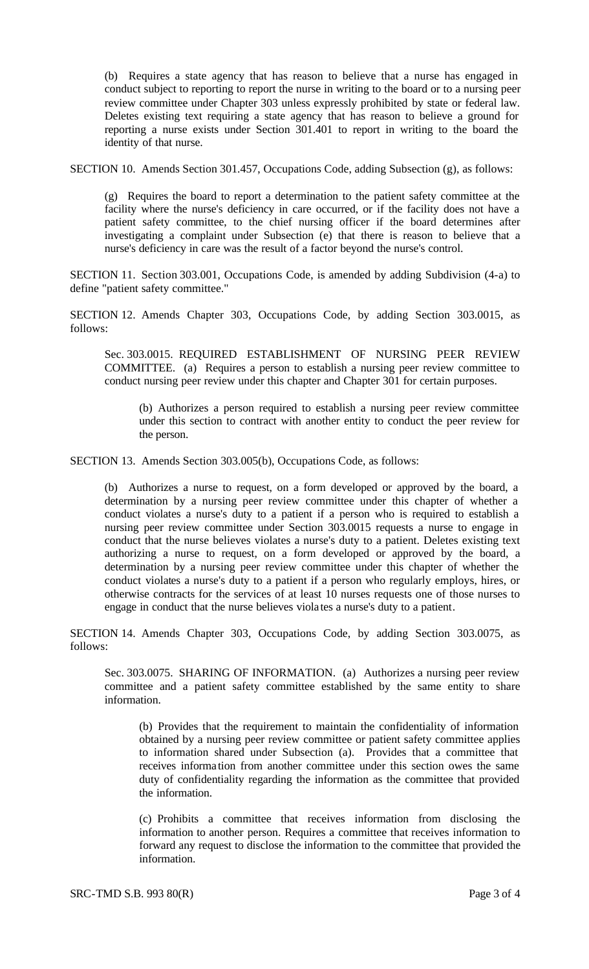(b) Requires a state agency that has reason to believe that a nurse has engaged in conduct subject to reporting to report the nurse in writing to the board or to a nursing peer review committee under Chapter 303 unless expressly prohibited by state or federal law. Deletes existing text requiring a state agency that has reason to believe a ground for reporting a nurse exists under Section 301.401 to report in writing to the board the identity of that nurse.

SECTION 10. Amends Section 301.457, Occupations Code, adding Subsection (g), as follows:

(g) Requires the board to report a determination to the patient safety committee at the facility where the nurse's deficiency in care occurred, or if the facility does not have a patient safety committee, to the chief nursing officer if the board determines after investigating a complaint under Subsection (e) that there is reason to believe that a nurse's deficiency in care was the result of a factor beyond the nurse's control.

SECTION 11. Section 303.001, Occupations Code, is amended by adding Subdivision (4-a) to define "patient safety committee."

SECTION 12. Amends Chapter 303, Occupations Code, by adding Section 303.0015, as follows:

Sec. 303.0015. REQUIRED ESTABLISHMENT OF NURSING PEER REVIEW COMMITTEE. (a) Requires a person to establish a nursing peer review committee to conduct nursing peer review under this chapter and Chapter 301 for certain purposes.

(b) Authorizes a person required to establish a nursing peer review committee under this section to contract with another entity to conduct the peer review for the person.

SECTION 13. Amends Section 303.005(b), Occupations Code, as follows:

(b) Authorizes a nurse to request, on a form developed or approved by the board, a determination by a nursing peer review committee under this chapter of whether a conduct violates a nurse's duty to a patient if a person who is required to establish a nursing peer review committee under Section 303.0015 requests a nurse to engage in conduct that the nurse believes violates a nurse's duty to a patient. Deletes existing text authorizing a nurse to request, on a form developed or approved by the board, a determination by a nursing peer review committee under this chapter of whether the conduct violates a nurse's duty to a patient if a person who regularly employs, hires, or otherwise contracts for the services of at least 10 nurses requests one of those nurses to engage in conduct that the nurse believes viola tes a nurse's duty to a patient.

SECTION 14. Amends Chapter 303, Occupations Code, by adding Section 303.0075, as follows:

Sec. 303.0075. SHARING OF INFORMATION. (a) Authorizes a nursing peer review committee and a patient safety committee established by the same entity to share information.

(b) Provides that the requirement to maintain the confidentiality of information obtained by a nursing peer review committee or patient safety committee applies to information shared under Subsection (a). Provides that a committee that receives informa tion from another committee under this section owes the same duty of confidentiality regarding the information as the committee that provided the information.

(c) Prohibits a committee that receives information from disclosing the information to another person. Requires a committee that receives information to forward any request to disclose the information to the committee that provided the information.